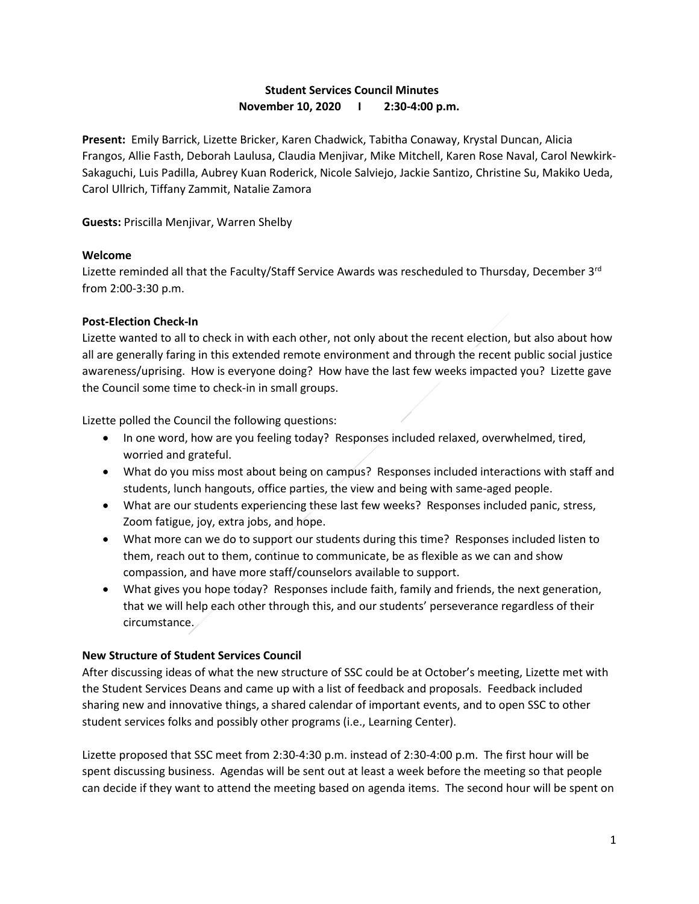# **Student Services Council Minutes November 10, 2020 I 2:30-4:00 p.m.**

**Present:** Emily Barrick, Lizette Bricker, Karen Chadwick, Tabitha Conaway, Krystal Duncan, Alicia Frangos, Allie Fasth, Deborah Laulusa, Claudia Menjivar, Mike Mitchell, Karen Rose Naval, Carol Newkirk-Sakaguchi, Luis Padilla, Aubrey Kuan Roderick, Nicole Salviejo, Jackie Santizo, Christine Su, Makiko Ueda, Carol Ullrich, Tiffany Zammit, Natalie Zamora

**Guests:** Priscilla Menjivar, Warren Shelby

## **Welcome**

Lizette reminded all that the Faculty/Staff Service Awards was rescheduled to Thursday, December 3<sup>rd</sup> from 2:00-3:30 p.m.

## **Post-Election Check-In**

Lizette wanted to all to check in with each other, not only about the recent election, but also about how all are generally faring in this extended remote environment and through the recent public social justice awareness/uprising. How is everyone doing? How have the last few weeks impacted you? Lizette gave the Council some time to check-in in small groups.

Lizette polled the Council the following questions:

- In one word, how are you feeling today? Responses included relaxed, overwhelmed, tired, worried and grateful.
- What do you miss most about being on campus? Responses included interactions with staff and students, lunch hangouts, office parties, the view and being with same-aged people.
- What are our students experiencing these last few weeks? Responses included panic, stress, Zoom fatigue, joy, extra jobs, and hope.
- What more can we do to support our students during this time? Responses included listen to them, reach out to them, continue to communicate, be as flexible as we can and show compassion, and have more staff/counselors available to support.
- What gives you hope today? Responses include faith, family and friends, the next generation, that we will help each other through this, and our students' perseverance regardless of their circumstance.

# **New Structure of Student Services Council**

After discussing ideas of what the new structure of SSC could be at October's meeting, Lizette met with the Student Services Deans and came up with a list of feedback and proposals. Feedback included sharing new and innovative things, a shared calendar of important events, and to open SSC to other student services folks and possibly other programs (i.e., Learning Center).

Lizette proposed that SSC meet from 2:30-4:30 p.m. instead of 2:30-4:00 p.m. The first hour will be spent discussing business. Agendas will be sent out at least a week before the meeting so that people can decide if they want to attend the meeting based on agenda items. The second hour will be spent on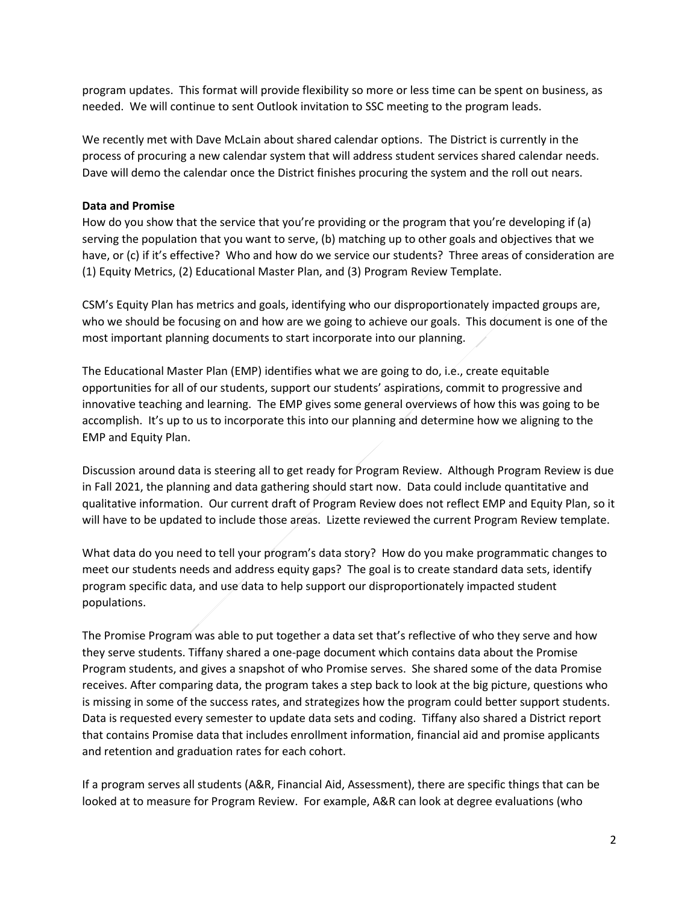program updates. This format will provide flexibility so more or less time can be spent on business, as needed. We will continue to sent Outlook invitation to SSC meeting to the program leads.

We recently met with Dave McLain about shared calendar options. The District is currently in the process of procuring a new calendar system that will address student services shared calendar needs. Dave will demo the calendar once the District finishes procuring the system and the roll out nears.

## **Data and Promise**

How do you show that the service that you're providing or the program that you're developing if (a) serving the population that you want to serve, (b) matching up to other goals and objectives that we have, or (c) if it's effective? Who and how do we service our students? Three areas of consideration are (1) Equity Metrics, (2) Educational Master Plan, and (3) Program Review Template.

CSM's Equity Plan has metrics and goals, identifying who our disproportionately impacted groups are, who we should be focusing on and how are we going to achieve our goals. This document is one of the most important planning documents to start incorporate into our planning.

The Educational Master Plan (EMP) identifies what we are going to do, i.e., create equitable opportunities for all of our students, support our students' aspirations, commit to progressive and innovative teaching and learning. The EMP gives some general overviews of how this was going to be accomplish. It's up to us to incorporate this into our planning and determine how we aligning to the EMP and Equity Plan.

Discussion around data is steering all to get ready for Program Review. Although Program Review is due in Fall 2021, the planning and data gathering should start now. Data could include quantitative and qualitative information. Our current draft of Program Review does not reflect EMP and Equity Plan, so it will have to be updated to include those areas. Lizette reviewed the current Program Review template.

What data do you need to tell your program's data story? How do you make programmatic changes to meet our students needs and address equity gaps? The goal is to create standard data sets, identify program specific data, and use data to help support our disproportionately impacted student populations.

The Promise Program was able to put together a data set that's reflective of who they serve and how they serve students. Tiffany shared a one-page document which contains data about the Promise Program students, and gives a snapshot of who Promise serves. She shared some of the data Promise receives. After comparing data, the program takes a step back to look at the big picture, questions who is missing in some of the success rates, and strategizes how the program could better support students. Data is requested every semester to update data sets and coding. Tiffany also shared a District report that contains Promise data that includes enrollment information, financial aid and promise applicants and retention and graduation rates for each cohort.

If a program serves all students (A&R, Financial Aid, Assessment), there are specific things that can be looked at to measure for Program Review. For example, A&R can look at degree evaluations (who